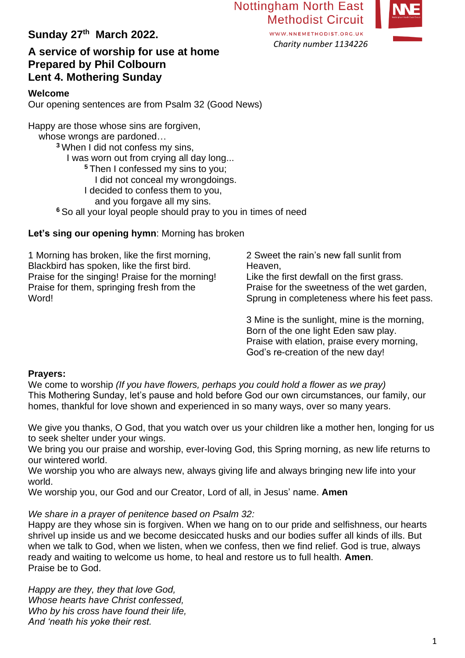**Nottingham North East Methodist Circuit** 

*Charity number 1134226*

WWW.NNEMETHODIST.ORG.UK



# **Sunday 27th March 2022.**

# **A service of worship for use at home Prepared by Phil Colbourn Lent 4. Mothering Sunday**

### **Welcome**

Our opening sentences are from Psalm 32 (Good News)

Happy are those whose sins are forgiven, whose wrongs are pardoned… **<sup>3</sup>** When I did not confess my sins, I was worn out from crying all day long... **<sup>5</sup>** Then I confessed my sins to you; I did not conceal my wrongdoings. I decided to confess them to you, and you forgave all my sins. **<sup>6</sup>** So all your loyal people should pray to you in times of need

### **Let's sing our opening hymn**: Morning has broken

1 Morning has broken, like the first morning, Blackbird has spoken, like the first bird. Praise for the singing! Praise for the morning! Praise for them, springing fresh from the Word!

2 Sweet the rain's new fall sunlit from Heaven, Like the first dewfall on the first grass. Praise for the sweetness of the wet garden, Sprung in completeness where his feet pass.

3 Mine is the sunlight, mine is the morning, Born of the one light Eden saw play. Praise with elation, praise every morning, God's re-creation of the new day!

### **Prayers:**

We come to worship *(If you have flowers, perhaps you could hold a flower as we pray)* This Mothering Sunday, let's pause and hold before God our own circumstances, our family, our homes, thankful for love shown and experienced in so many ways, over so many years.

We give you thanks, O God, that you watch over us your children like a mother hen, longing for us to seek shelter under your wings.

We bring you our praise and worship, ever-loving God, this Spring morning, as new life returns to our wintered world.

We worship you who are always new, always giving life and always bringing new life into your world.

We worship you, our God and our Creator, Lord of all, in Jesus' name. **Amen**

*We share in a prayer of penitence based on Psalm 32:*

Happy are they whose sin is forgiven. When we hang on to our pride and selfishness, our hearts shrivel up inside us and we become desiccated husks and our bodies suffer all kinds of ills. But when we talk to God, when we listen, when we confess, then we find relief. God is true, always ready and waiting to welcome us home, to heal and restore us to full health. **Amen**. Praise be to God.

*Happy are they, they that love God, Whose hearts have Christ confessed, Who by his cross have found their life, And 'neath his yoke their rest.*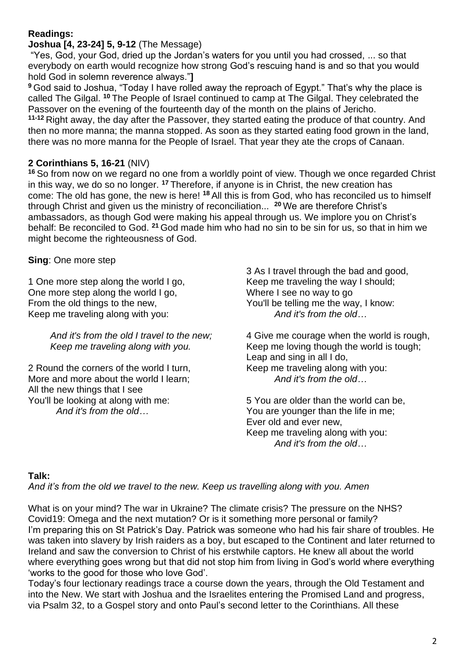# **Readings:**

# **Joshua [4, 23-24] 5, 9-12** (The Message)

"Yes, God, your God, dried up the Jordan's waters for you until you had crossed, ... so that everybody on earth would recognize how strong God's rescuing hand is and so that you would hold God in solemn reverence always."**]**

**<sup>9</sup>** God said to Joshua, "Today I have rolled away the reproach of Egypt." That's why the place is called The Gilgal. **<sup>10</sup>** The People of Israel continued to camp at The Gilgal. They celebrated the Passover on the evening of the fourteenth day of the month on the plains of Jericho. **11-12** Right away, the day after the Passover, they started eating the produce of that country. And

then no more manna; the manna stopped. As soon as they started eating food grown in the land, there was no more manna for the People of Israel. That year they ate the crops of Canaan.

## **2 Corinthians 5, 16-21** (NIV)

**<sup>16</sup>** So from now on we regard no one from a worldly point of view. Though we once regarded Christ in this way, we do so no longer. **<sup>17</sup>** Therefore, if anyone is in Christ, the new creation has come: The old has gone, the new is here! **<sup>18</sup>** All this is from God, who has reconciled us to himself through Christ and given us the ministry of reconciliation... **<sup>20</sup>** We are therefore Christ's ambassadors, as though God were making his appeal through us. We implore you on Christ's behalf: Be reconciled to God. **<sup>21</sup>** God made him who had no sin to be sin for us, so that in him we might become the righteousness of God.

**Sing**: One more step

1 One more step along the world I go, One more step along the world I go, From the old things to the new, Keep me traveling along with you:

> *And it's from the old I travel to the new; Keep me traveling along with you.*

2 Round the corners of the world I turn, More and more about the world I learn; All the new things that I see You'll be looking at along with me: *And it's from the old…*

3 As I travel through the bad and good, Keep me traveling the way I should; Where I see no way to go You'll be telling me the way, I know: *And it's from the old…*

4 Give me courage when the world is rough, Keep me loving though the world is tough; Leap and sing in all I do, Keep me traveling along with you: *And it's from the old…*

5 You are older than the world can be, You are younger than the life in me; Ever old and ever new, Keep me traveling along with you: *And it's from the old…*

# **Talk:**

*And it's from the old we travel to the new. Keep us travelling along with you. Amen*

What is on your mind? The war in Ukraine? The climate crisis? The pressure on the NHS? Covid19: Omega and the next mutation? Or is it something more personal or family? I'm preparing this on St Patrick's Day. Patrick was someone who had his fair share of troubles. He was taken into slavery by Irish raiders as a boy, but escaped to the Continent and later returned to Ireland and saw the conversion to Christ of his erstwhile captors. He knew all about the world where everything goes wrong but that did not stop him from living in God's world where everything 'works to the good for those who love God'.

Today's four lectionary readings trace a course down the years, through the Old Testament and into the New. We start with Joshua and the Israelites entering the Promised Land and progress, via Psalm 32, to a Gospel story and onto Paul's second letter to the Corinthians. All these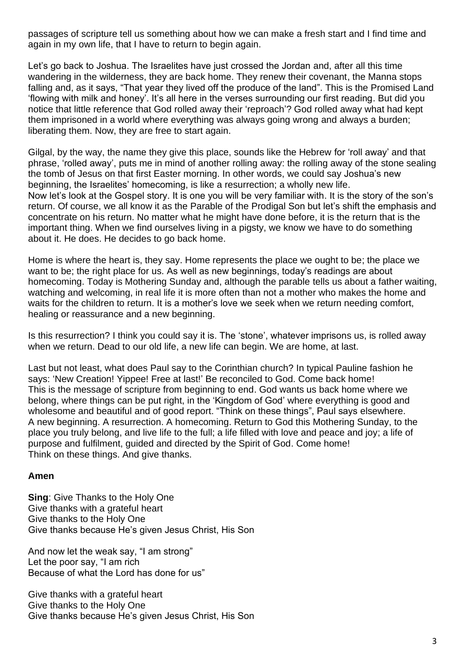passages of scripture tell us something about how we can make a fresh start and I find time and again in my own life, that I have to return to begin again.

Let's go back to Joshua. The Israelites have just crossed the Jordan and, after all this time wandering in the wilderness, they are back home. They renew their covenant, the Manna stops falling and, as it says, "That year they lived off the produce of the land". This is the Promised Land 'flowing with milk and honey'. It's all here in the verses surrounding our first reading. But did you notice that little reference that God rolled away their 'reproach'? God rolled away what had kept them imprisoned in a world where everything was always going wrong and always a burden; liberating them. Now, they are free to start again.

Gilgal, by the way, the name they give this place, sounds like the Hebrew for 'roll away' and that phrase, 'rolled away', puts me in mind of another rolling away: the rolling away of the stone sealing the tomb of Jesus on that first Easter morning. In other words, we could say Joshua's new beginning, the Israelites' homecoming, is like a resurrection; a wholly new life. Now let's look at the Gospel story. It is one you will be very familiar with. It is the story of the son's return. Of course, we all know it as the Parable of the Prodigal Son but let's shift the emphasis and concentrate on his return. No matter what he might have done before, it is the return that is the important thing. When we find ourselves living in a pigsty, we know we have to do something about it. He does. He decides to go back home.

Home is where the heart is, they say. Home represents the place we ought to be; the place we want to be; the right place for us. As well as new beginnings, today's readings are about homecoming. Today is Mothering Sunday and, although the parable tells us about a father waiting, watching and welcoming, in real life it is more often than not a mother who makes the home and waits for the children to return. It is a mother's love we seek when we return needing comfort, healing or reassurance and a new beginning.

Is this resurrection? I think you could say it is. The 'stone', whatever imprisons us, is rolled away when we return. Dead to our old life, a new life can begin. We are home, at last.

Last but not least, what does Paul say to the Corinthian church? In typical Pauline fashion he says: 'New Creation! Yippee! Free at last!' Be reconciled to God. Come back home! This is the message of scripture from beginning to end. God wants us back home where we belong, where things can be put right, in the 'Kingdom of God' where everything is good and wholesome and beautiful and of good report. "Think on these things", Paul says elsewhere. A new beginning. A resurrection. A homecoming. Return to God this Mothering Sunday, to the place you truly belong, and live life to the full; a life filled with love and peace and joy; a life of purpose and fulfilment, guided and directed by the Spirit of God. Come home! Think on these things. And give thanks.

### **Amen**

**Sing**: Give Thanks to the Holy One Give thanks with a grateful heart Give thanks to the Holy One Give thanks because He's given Jesus Christ, His Son

And now let the weak say, "I am strong" Let the poor say, "I am rich Because of what the Lord has done for us"

Give thanks with a grateful heart Give thanks to the Holy One Give thanks because He's given Jesus Christ, His Son